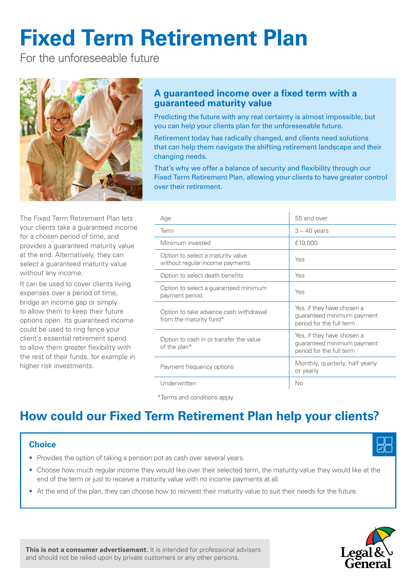# **Fixed Term Retirement Plan**

For the unforeseeable future



The Fixed Term Retirement Plan lets your clients take a guaranteed income for a chosen period of time, and provides a guaranteed maturity value at the end. Alternatively, they can select a guaranteed maturity value without any income.

It can be used to cover clients living expenses over a period of time, bridge an income gap or simply to allow them to keep their future options open. Its guaranteed income could be used to ring fence your client's essential retirement spend to allow them greater flexibility with the rest of their funds, for example in higher risk investments.

# **A guaranteed income over a fixed term with a guaranteed maturity value**

Predicting the future with any real certainty is almost impossible, but you can help your clients plan for the unforeseeable future.

Retirement today has radically changed, and clients need solutions that can help them navigate the shifting retirement landscape and their changing needs.

That's why we offer a balance of security and flexibility through our Fixed Term Retirement Plan, allowing your clients to have greater control over their retirement.

| Age                                                                         | 55 and over                                                                          |
|-----------------------------------------------------------------------------|--------------------------------------------------------------------------------------|
| Term                                                                        | $3 - 40$ years                                                                       |
| Minimum invested                                                            | £10,000                                                                              |
| Option to select a maturity value<br>Yes<br>without regular income payments |                                                                                      |
| Option to select death benefits<br>Yes                                      |                                                                                      |
| Option to select a guaranteed minimum<br>Yes<br>payment period              |                                                                                      |
| Option to take advance cash withdrawal<br>from the maturity fund*           | Yes, if they have chosen a<br>guaranteed minimum payment<br>period for the full term |
| Option to cash in or transfer the value<br>of the plan*                     | Yes, if they have chosen a<br>guaranteed minimum payment<br>period for the full term |
| Payment frequency options                                                   | Monthly, quarterly, half yearly<br>or yearly                                         |
| Underwritten<br>No                                                          |                                                                                      |

\*Terms and conditions apply

# **How could our Fixed Term Retirement Plan help your clients?**

#### **Choice**

- Provides the option of taking a pension pot as cash over several years.
- Choose how much regular income they would like over their selected term, the maturity value they would like at the end of the term or just to receive a maturity value with no income payments at all.
- At the end of the plan, they can choose how to reinvest their maturity value to suit their needs for the future.



**This is not a consumer advertisement.** It is intended for professional advisers and should not be relied upon by private customers or any other persons.